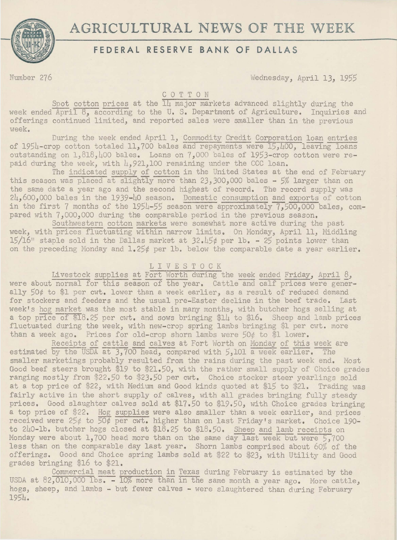

# **AGRICULTURAL NEWS OF THE WEEK**

# **FEDERAL RESERVE BANK OF DALLAS**

Number 276 Wednesday, April 13, *1955* 

### C 0 T T 0 N

Spot cotton prices at the  $\overline{\text{14}}$  major markets advanced slightly during the week ended April 8, according to the U.S. Department of Agriculture. Inquiries and offerings continued limited, and reported sales were smaller than in the previous week.

During the week ended April 1, Commodity Credit Corporation loan entries of  $1954$ -crop cotton totaled 11,700 bales and repayments were  $15,400$ , leaving loans outstanding on 1, 818,400 bales. Loans on 7,000 bales of 1953-crop cotton were repaid during the week, with  $\mu$ , 921,100 remaining under the CCC loan.

The indicated supply of cotton in the United States at the end of February this season was placed at slightly more than 23,300,000 bales - 5% larger than on the same date a year ago and the second highest of record. The record supply was  $24,600,000$  bales in the 1939-40 season. Domestic consumption and exports of cotton in the first 7 months of the  $1954-55$  season were approximately  $7,500,000$  bales, compared with 7,000,000 during the comparable period in the previous season.

Southwestern cotton markets were somewhat more active during the past week, with prices fluctuating within narrow limits. On Monday, April 11, Middling 15/16" staple sold in the Dallas market at  $32.45\ell$  per lb. - 25 points lower than on the preceding Monday and  $1.25¢$  per lb. below the comparable date a year earlier.

## L I V E S T 0 C K

Livestock supplies at Fort Worth during the week ended Friday, April  $\delta$ , were about normal for this season of the year. Cattle and calf prices were generally 50¢ to \$1 per cwt. lower than a week earlier, as a result of reduced demand for stockers and feeders and the usual pre-Easter decline in the beef trade. Last week's hog market was the most stable in many months, with butcher hogs selling at a top price of \$18.25 per cwt. and sows bringing \$14 to \$16. Sheep and lamb prices fluctuated during the week, with new-crop spring lambs bringing \$1 per cwt. more than a week ago. Prices for old-crop shorn lambs were  $50¢$  to \$1 lower.

Receipts of cattle and calves at Fort Worth on Monday of this week are estimated by the USDA at  $3,700$  head, compared with  $5,101$  a week earlier. The smaller marketings probably resulted from the rains during the past week end. Most Good beef steers brought \$19 to \$21.50, with the rather small supply of Choice grades ranging mostly from \$22,50 to \$2J.50 per cwt. Choice stocker steer yearlings sold at a top price of \$22, with Medium and Good kinds quoted at \$15 to \$21. Trading was fairly active in the short supply of calves, with all grades bringing fully steady prices. Good slaughter calves sold at \$17.50 to \$19.50, with Choice grades bringing a top price of \$22. Hog supplies were also smaller than a week earlier, and prices received were  $25¢$  to  $\overline{50¢}$  per cwt. higher than on last Friday's market. Choice 190to 240-lb, butcher hogs closed at \$18.25 to \$18.50. Sheep and lamb receipts on Monday were about 1,700 head more than on the same day last week but were  $5,700$ less than on the comparable day last year. Shorn lambs comprised about 60% of the offerings. Good and Choice spring lambs sold at \$22 to \$23, with Utility and Good grades bringing \$16 to \$21.

Commercial meat production in Texas during February is estimated by the USDA at 82,010,000 lbs. - 10% more than in the same month a year ago. More cattle, hogs, sheep, and lambs - but fewer calves - were slaughtered than during February 1954.